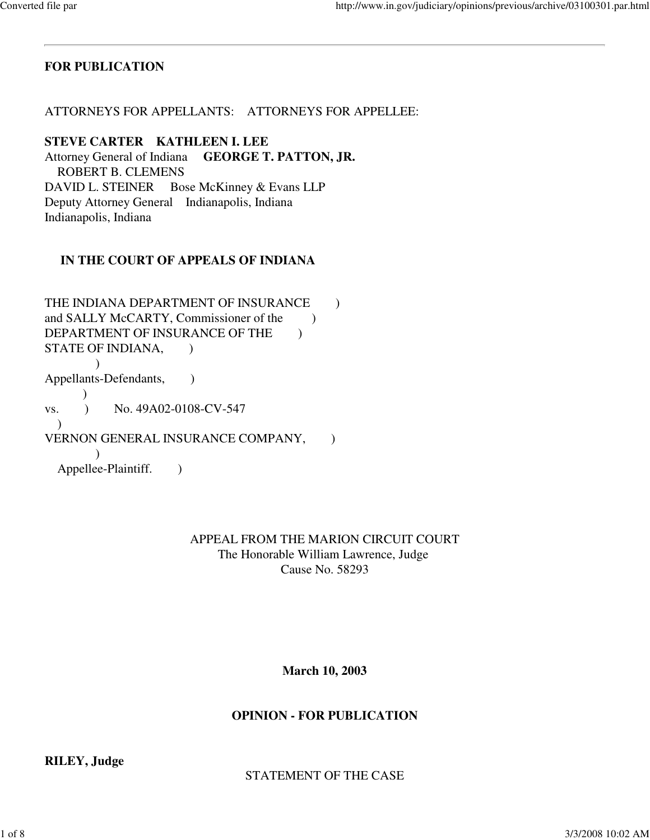# **FOR PUBLICATION**

ATTORNEYS FOR APPELLANTS: ATTORNEYS FOR APPELLEE:

## **STEVE CARTER KATHLEEN I. LEE**

Attorney General of Indiana **GEORGE T. PATTON, JR.**  ROBERT B. CLEMENS DAVID L. STEINER Bose McKinney & Evans LLP Deputy Attorney General Indianapolis, Indiana Indianapolis, Indiana

# **IN THE COURT OF APPEALS OF INDIANA**

THE INDIANA DEPARTMENT OF INSURANCE  $\qquad$  ) and SALLY McCARTY, Commissioner of the  $\qquad$ ) DEPARTMENT OF INSURANCE OF THE  $\qquad$  ) STATE OF INDIANA,  $\overline{\phantom{a}}$ Appellants-Defendants, )  $\lambda$ vs. ) No. 49A02-0108-CV-547 ) VERNON GENERAL INSURANCE COMPANY, ) Appellee-Plaintiff. )

## APPEAL FROM THE MARION CIRCUIT COURT The Honorable William Lawrence, Judge Cause No. 58293

# **March 10, 2003**

# **OPINION - FOR PUBLICATION**

**RILEY, Judge** 

STATEMENT OF THE CASE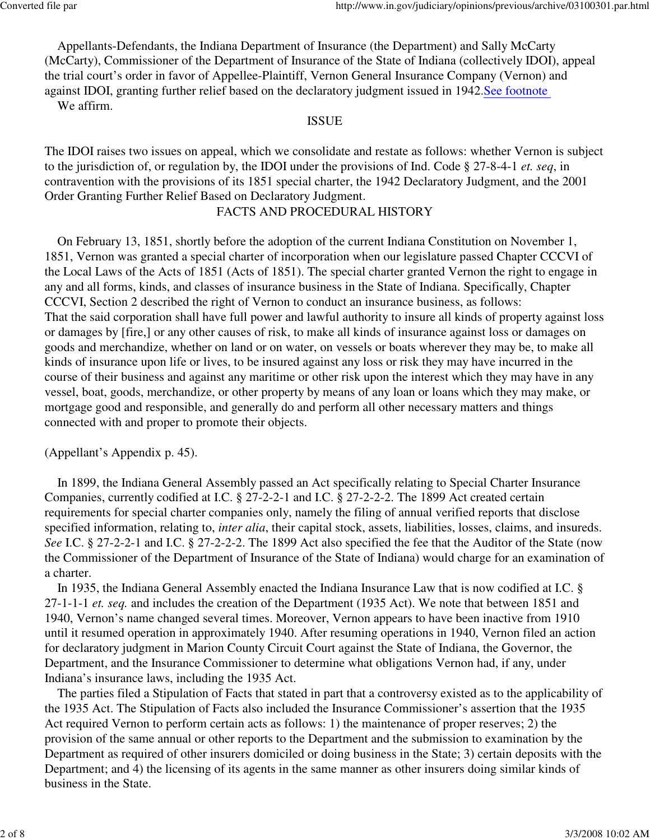Appellants-Defendants, the Indiana Department of Insurance (the Department) and Sally McCarty (McCarty), Commissioner of the Department of Insurance of the State of Indiana (collectively IDOI), appeal the trial court's order in favor of Appellee-Plaintiff, Vernon General Insurance Company (Vernon) and against IDOI, granting further relief based on the declaratory judgment issued in 1942.See footnote We affirm.

#### ISSUE

The IDOI raises two issues on appeal, which we consolidate and restate as follows: whether Vernon is subject to the jurisdiction of, or regulation by, the IDOI under the provisions of Ind. Code § 27-8-4-1 *et. seq*, in contravention with the provisions of its 1851 special charter, the 1942 Declaratory Judgment, and the 2001 Order Granting Further Relief Based on Declaratory Judgment.

### FACTS AND PROCEDURAL HISTORY

 On February 13, 1851, shortly before the adoption of the current Indiana Constitution on November 1, 1851, Vernon was granted a special charter of incorporation when our legislature passed Chapter CCCVI of the Local Laws of the Acts of 1851 (Acts of 1851). The special charter granted Vernon the right to engage in any and all forms, kinds, and classes of insurance business in the State of Indiana. Specifically, Chapter CCCVI, Section 2 described the right of Vernon to conduct an insurance business, as follows: That the said corporation shall have full power and lawful authority to insure all kinds of property against loss or damages by [fire,] or any other causes of risk, to make all kinds of insurance against loss or damages on goods and merchandize, whether on land or on water, on vessels or boats wherever they may be, to make all kinds of insurance upon life or lives, to be insured against any loss or risk they may have incurred in the course of their business and against any maritime or other risk upon the interest which they may have in any vessel, boat, goods, merchandize, or other property by means of any loan or loans which they may make, or mortgage good and responsible, and generally do and perform all other necessary matters and things connected with and proper to promote their objects.

### (Appellant's Appendix p. 45).

 In 1899, the Indiana General Assembly passed an Act specifically relating to Special Charter Insurance Companies, currently codified at I.C. § 27-2-2-1 and I.C. § 27-2-2-2. The 1899 Act created certain requirements for special charter companies only, namely the filing of annual verified reports that disclose specified information, relating to, *inter alia*, their capital stock, assets, liabilities, losses, claims, and insureds. *See* I.C. § 27-2-2-1 and I.C. § 27-2-2-2. The 1899 Act also specified the fee that the Auditor of the State (now the Commissioner of the Department of Insurance of the State of Indiana) would charge for an examination of a charter.

 In 1935, the Indiana General Assembly enacted the Indiana Insurance Law that is now codified at I.C. § 27-1-1-1 *et. seq.* and includes the creation of the Department (1935 Act). We note that between 1851 and 1940, Vernon's name changed several times. Moreover, Vernon appears to have been inactive from 1910 until it resumed operation in approximately 1940. After resuming operations in 1940, Vernon filed an action for declaratory judgment in Marion County Circuit Court against the State of Indiana, the Governor, the Department, and the Insurance Commissioner to determine what obligations Vernon had, if any, under Indiana's insurance laws, including the 1935 Act.

 The parties filed a Stipulation of Facts that stated in part that a controversy existed as to the applicability of the 1935 Act. The Stipulation of Facts also included the Insurance Commissioner's assertion that the 1935 Act required Vernon to perform certain acts as follows: 1) the maintenance of proper reserves; 2) the provision of the same annual or other reports to the Department and the submission to examination by the Department as required of other insurers domiciled or doing business in the State; 3) certain deposits with the Department; and 4) the licensing of its agents in the same manner as other insurers doing similar kinds of business in the State.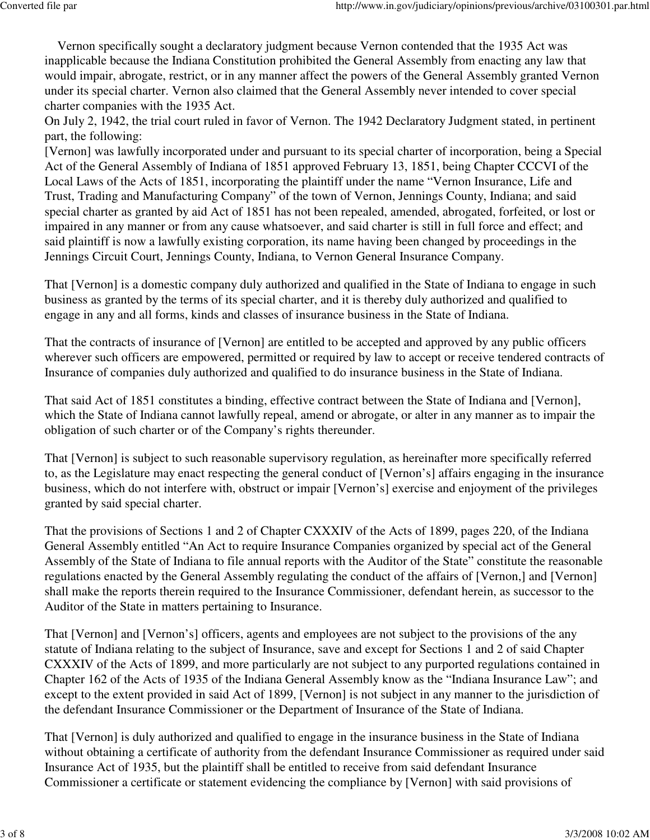Vernon specifically sought a declaratory judgment because Vernon contended that the 1935 Act was inapplicable because the Indiana Constitution prohibited the General Assembly from enacting any law that would impair, abrogate, restrict, or in any manner affect the powers of the General Assembly granted Vernon under its special charter. Vernon also claimed that the General Assembly never intended to cover special charter companies with the 1935 Act.

On July 2, 1942, the trial court ruled in favor of Vernon. The 1942 Declaratory Judgment stated, in pertinent part, the following:

[Vernon] was lawfully incorporated under and pursuant to its special charter of incorporation, being a Special Act of the General Assembly of Indiana of 1851 approved February 13, 1851, being Chapter CCCVI of the Local Laws of the Acts of 1851, incorporating the plaintiff under the name "Vernon Insurance, Life and Trust, Trading and Manufacturing Company" of the town of Vernon, Jennings County, Indiana; and said special charter as granted by aid Act of 1851 has not been repealed, amended, abrogated, forfeited, or lost or impaired in any manner or from any cause whatsoever, and said charter is still in full force and effect; and said plaintiff is now a lawfully existing corporation, its name having been changed by proceedings in the Jennings Circuit Court, Jennings County, Indiana, to Vernon General Insurance Company.

That [Vernon] is a domestic company duly authorized and qualified in the State of Indiana to engage in such business as granted by the terms of its special charter, and it is thereby duly authorized and qualified to engage in any and all forms, kinds and classes of insurance business in the State of Indiana.

That the contracts of insurance of [Vernon] are entitled to be accepted and approved by any public officers wherever such officers are empowered, permitted or required by law to accept or receive tendered contracts of Insurance of companies duly authorized and qualified to do insurance business in the State of Indiana.

That said Act of 1851 constitutes a binding, effective contract between the State of Indiana and [Vernon], which the State of Indiana cannot lawfully repeal, amend or abrogate, or alter in any manner as to impair the obligation of such charter or of the Company's rights thereunder.

That [Vernon] is subject to such reasonable supervisory regulation, as hereinafter more specifically referred to, as the Legislature may enact respecting the general conduct of [Vernon's] affairs engaging in the insurance business, which do not interfere with, obstruct or impair [Vernon's] exercise and enjoyment of the privileges granted by said special charter.

That the provisions of Sections 1 and 2 of Chapter CXXXIV of the Acts of 1899, pages 220, of the Indiana General Assembly entitled "An Act to require Insurance Companies organized by special act of the General Assembly of the State of Indiana to file annual reports with the Auditor of the State" constitute the reasonable regulations enacted by the General Assembly regulating the conduct of the affairs of [Vernon,] and [Vernon] shall make the reports therein required to the Insurance Commissioner, defendant herein, as successor to the Auditor of the State in matters pertaining to Insurance.

That [Vernon] and [Vernon's] officers, agents and employees are not subject to the provisions of the any statute of Indiana relating to the subject of Insurance, save and except for Sections 1 and 2 of said Chapter CXXXIV of the Acts of 1899, and more particularly are not subject to any purported regulations contained in Chapter 162 of the Acts of 1935 of the Indiana General Assembly know as the "Indiana Insurance Law"; and except to the extent provided in said Act of 1899, [Vernon] is not subject in any manner to the jurisdiction of the defendant Insurance Commissioner or the Department of Insurance of the State of Indiana.

That [Vernon] is duly authorized and qualified to engage in the insurance business in the State of Indiana without obtaining a certificate of authority from the defendant Insurance Commissioner as required under said Insurance Act of 1935, but the plaintiff shall be entitled to receive from said defendant Insurance Commissioner a certificate or statement evidencing the compliance by [Vernon] with said provisions of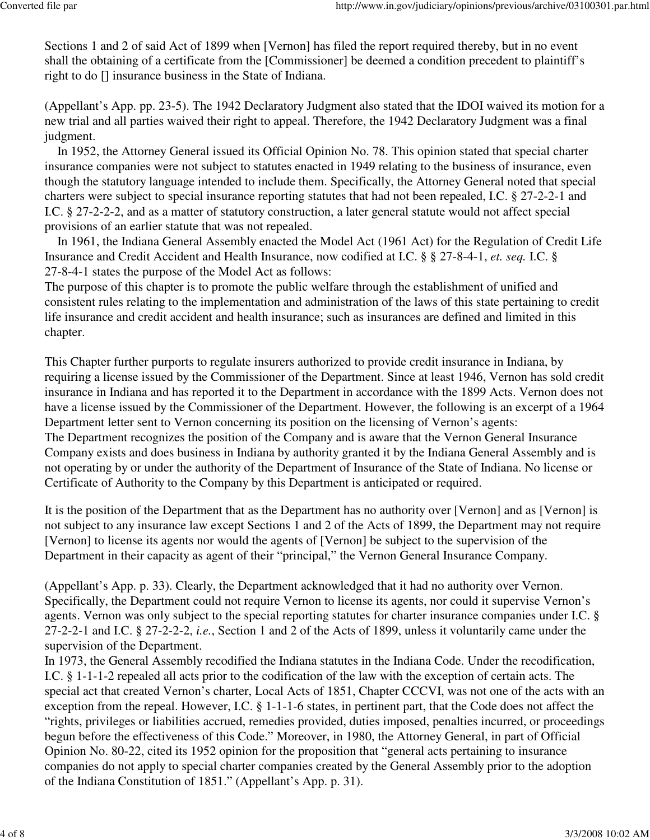Sections 1 and 2 of said Act of 1899 when [Vernon] has filed the report required thereby, but in no event shall the obtaining of a certificate from the [Commissioner] be deemed a condition precedent to plaintiff's right to do [] insurance business in the State of Indiana.

(Appellant's App. pp. 23-5). The 1942 Declaratory Judgment also stated that the IDOI waived its motion for a new trial and all parties waived their right to appeal. Therefore, the 1942 Declaratory Judgment was a final judgment.

 In 1952, the Attorney General issued its Official Opinion No. 78. This opinion stated that special charter insurance companies were not subject to statutes enacted in 1949 relating to the business of insurance, even though the statutory language intended to include them. Specifically, the Attorney General noted that special charters were subject to special insurance reporting statutes that had not been repealed, I.C. § 27-2-2-1 and I.C. § 27-2-2-2, and as a matter of statutory construction, a later general statute would not affect special provisions of an earlier statute that was not repealed.

 In 1961, the Indiana General Assembly enacted the Model Act (1961 Act) for the Regulation of Credit Life Insurance and Credit Accident and Health Insurance, now codified at I.C. § § 27-8-4-1, *et. seq.* I.C. § 27-8-4-1 states the purpose of the Model Act as follows:

The purpose of this chapter is to promote the public welfare through the establishment of unified and consistent rules relating to the implementation and administration of the laws of this state pertaining to credit life insurance and credit accident and health insurance; such as insurances are defined and limited in this chapter.

This Chapter further purports to regulate insurers authorized to provide credit insurance in Indiana, by requiring a license issued by the Commissioner of the Department. Since at least 1946, Vernon has sold credit insurance in Indiana and has reported it to the Department in accordance with the 1899 Acts. Vernon does not have a license issued by the Commissioner of the Department. However, the following is an excerpt of a 1964 Department letter sent to Vernon concerning its position on the licensing of Vernon's agents: The Department recognizes the position of the Company and is aware that the Vernon General Insurance Company exists and does business in Indiana by authority granted it by the Indiana General Assembly and is not operating by or under the authority of the Department of Insurance of the State of Indiana. No license or Certificate of Authority to the Company by this Department is anticipated or required.

It is the position of the Department that as the Department has no authority over [Vernon] and as [Vernon] is not subject to any insurance law except Sections 1 and 2 of the Acts of 1899, the Department may not require [Vernon] to license its agents nor would the agents of [Vernon] be subject to the supervision of the Department in their capacity as agent of their "principal," the Vernon General Insurance Company.

(Appellant's App. p. 33). Clearly, the Department acknowledged that it had no authority over Vernon. Specifically, the Department could not require Vernon to license its agents, nor could it supervise Vernon's agents. Vernon was only subject to the special reporting statutes for charter insurance companies under I.C. § 27-2-2-1 and I.C. § 27-2-2-2, *i.e.*, Section 1 and 2 of the Acts of 1899, unless it voluntarily came under the supervision of the Department.

In 1973, the General Assembly recodified the Indiana statutes in the Indiana Code. Under the recodification, I.C. § 1-1-1-2 repealed all acts prior to the codification of the law with the exception of certain acts. The special act that created Vernon's charter, Local Acts of 1851, Chapter CCCVI, was not one of the acts with an exception from the repeal. However, I.C. § 1-1-1-6 states, in pertinent part, that the Code does not affect the "rights, privileges or liabilities accrued, remedies provided, duties imposed, penalties incurred, or proceedings begun before the effectiveness of this Code." Moreover, in 1980, the Attorney General, in part of Official Opinion No. 80-22, cited its 1952 opinion for the proposition that "general acts pertaining to insurance companies do not apply to special charter companies created by the General Assembly prior to the adoption of the Indiana Constitution of 1851." (Appellant's App. p. 31).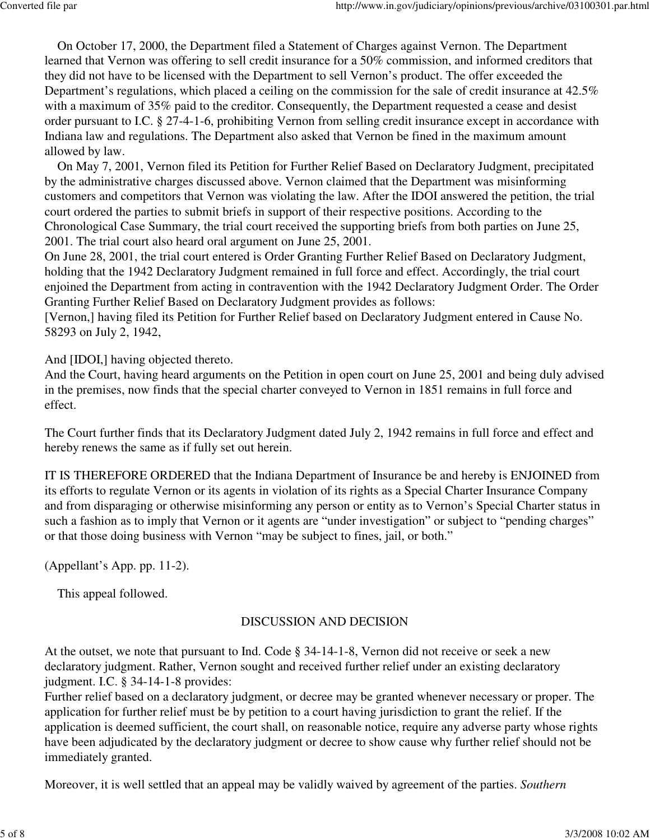On October 17, 2000, the Department filed a Statement of Charges against Vernon. The Department learned that Vernon was offering to sell credit insurance for a 50% commission, and informed creditors that they did not have to be licensed with the Department to sell Vernon's product. The offer exceeded the Department's regulations, which placed a ceiling on the commission for the sale of credit insurance at 42.5% with a maximum of 35% paid to the creditor. Consequently, the Department requested a cease and desist order pursuant to I.C. § 27-4-1-6, prohibiting Vernon from selling credit insurance except in accordance with Indiana law and regulations. The Department also asked that Vernon be fined in the maximum amount allowed by law.

 On May 7, 2001, Vernon filed its Petition for Further Relief Based on Declaratory Judgment, precipitated by the administrative charges discussed above. Vernon claimed that the Department was misinforming customers and competitors that Vernon was violating the law. After the IDOI answered the petition, the trial court ordered the parties to submit briefs in support of their respective positions. According to the Chronological Case Summary, the trial court received the supporting briefs from both parties on June 25, 2001. The trial court also heard oral argument on June 25, 2001.

On June 28, 2001, the trial court entered is Order Granting Further Relief Based on Declaratory Judgment, holding that the 1942 Declaratory Judgment remained in full force and effect. Accordingly, the trial court enjoined the Department from acting in contravention with the 1942 Declaratory Judgment Order. The Order Granting Further Relief Based on Declaratory Judgment provides as follows:

[Vernon,] having filed its Petition for Further Relief based on Declaratory Judgment entered in Cause No. 58293 on July 2, 1942,

And [IDOI,] having objected thereto.

And the Court, having heard arguments on the Petition in open court on June 25, 2001 and being duly advised in the premises, now finds that the special charter conveyed to Vernon in 1851 remains in full force and effect.

The Court further finds that its Declaratory Judgment dated July 2, 1942 remains in full force and effect and hereby renews the same as if fully set out herein.

IT IS THEREFORE ORDERED that the Indiana Department of Insurance be and hereby is ENJOINED from its efforts to regulate Vernon or its agents in violation of its rights as a Special Charter Insurance Company and from disparaging or otherwise misinforming any person or entity as to Vernon's Special Charter status in such a fashion as to imply that Vernon or it agents are "under investigation" or subject to "pending charges" or that those doing business with Vernon "may be subject to fines, jail, or both."

(Appellant's App. pp. 11-2).

This appeal followed.

### DISCUSSION AND DECISION

At the outset, we note that pursuant to Ind. Code § 34-14-1-8, Vernon did not receive or seek a new declaratory judgment. Rather, Vernon sought and received further relief under an existing declaratory judgment. I.C. § 34-14-1-8 provides:

Further relief based on a declaratory judgment, or decree may be granted whenever necessary or proper. The application for further relief must be by petition to a court having jurisdiction to grant the relief. If the application is deemed sufficient, the court shall, on reasonable notice, require any adverse party whose rights have been adjudicated by the declaratory judgment or decree to show cause why further relief should not be immediately granted.

Moreover, it is well settled that an appeal may be validly waived by agreement of the parties. *Southern*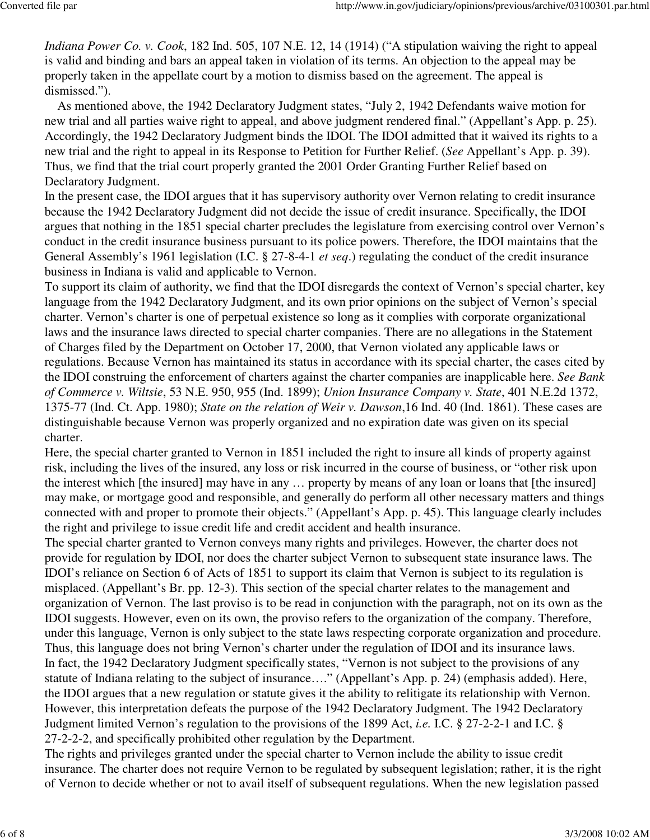*Indiana Power Co. v. Cook*, 182 Ind. 505, 107 N.E. 12, 14 (1914) ("A stipulation waiving the right to appeal is valid and binding and bars an appeal taken in violation of its terms. An objection to the appeal may be properly taken in the appellate court by a motion to dismiss based on the agreement. The appeal is dismissed.").

 As mentioned above, the 1942 Declaratory Judgment states, "July 2, 1942 Defendants waive motion for new trial and all parties waive right to appeal, and above judgment rendered final." (Appellant's App. p. 25). Accordingly, the 1942 Declaratory Judgment binds the IDOI. The IDOI admitted that it waived its rights to a new trial and the right to appeal in its Response to Petition for Further Relief. (*See* Appellant's App. p. 39). Thus, we find that the trial court properly granted the 2001 Order Granting Further Relief based on Declaratory Judgment.

In the present case, the IDOI argues that it has supervisory authority over Vernon relating to credit insurance because the 1942 Declaratory Judgment did not decide the issue of credit insurance. Specifically, the IDOI argues that nothing in the 1851 special charter precludes the legislature from exercising control over Vernon's conduct in the credit insurance business pursuant to its police powers. Therefore, the IDOI maintains that the General Assembly's 1961 legislation (I.C. § 27-8-4-1 *et seq*.) regulating the conduct of the credit insurance business in Indiana is valid and applicable to Vernon.

To support its claim of authority, we find that the IDOI disregards the context of Vernon's special charter, key language from the 1942 Declaratory Judgment, and its own prior opinions on the subject of Vernon's special charter. Vernon's charter is one of perpetual existence so long as it complies with corporate organizational laws and the insurance laws directed to special charter companies. There are no allegations in the Statement of Charges filed by the Department on October 17, 2000, that Vernon violated any applicable laws or regulations. Because Vernon has maintained its status in accordance with its special charter, the cases cited by the IDOI construing the enforcement of charters against the charter companies are inapplicable here. *See Bank of Commerce v. Wiltsie*, 53 N.E. 950, 955 (Ind. 1899); *Union Insurance Company v. State*, 401 N.E.2d 1372, 1375-77 (Ind. Ct. App. 1980); *State on the relation of Weir v. Dawson*,16 Ind. 40 (Ind. 1861). These cases are distinguishable because Vernon was properly organized and no expiration date was given on its special charter.

Here, the special charter granted to Vernon in 1851 included the right to insure all kinds of property against risk, including the lives of the insured, any loss or risk incurred in the course of business, or "other risk upon the interest which [the insured] may have in any … property by means of any loan or loans that [the insured] may make, or mortgage good and responsible, and generally do perform all other necessary matters and things connected with and proper to promote their objects." (Appellant's App. p. 45). This language clearly includes the right and privilege to issue credit life and credit accident and health insurance.

The special charter granted to Vernon conveys many rights and privileges. However, the charter does not provide for regulation by IDOI, nor does the charter subject Vernon to subsequent state insurance laws. The IDOI's reliance on Section 6 of Acts of 1851 to support its claim that Vernon is subject to its regulation is misplaced. (Appellant's Br. pp. 12-3). This section of the special charter relates to the management and organization of Vernon. The last proviso is to be read in conjunction with the paragraph, not on its own as the IDOI suggests. However, even on its own, the proviso refers to the organization of the company. Therefore, under this language, Vernon is only subject to the state laws respecting corporate organization and procedure. Thus, this language does not bring Vernon's charter under the regulation of IDOI and its insurance laws. In fact, the 1942 Declaratory Judgment specifically states, "Vernon is not subject to the provisions of any statute of Indiana relating to the subject of insurance…." (Appellant's App. p. 24) (emphasis added). Here, the IDOI argues that a new regulation or statute gives it the ability to relitigate its relationship with Vernon. However, this interpretation defeats the purpose of the 1942 Declaratory Judgment. The 1942 Declaratory Judgment limited Vernon's regulation to the provisions of the 1899 Act, *i.e.* I.C. § 27-2-2-1 and I.C. § 27-2-2-2, and specifically prohibited other regulation by the Department.

The rights and privileges granted under the special charter to Vernon include the ability to issue credit insurance. The charter does not require Vernon to be regulated by subsequent legislation; rather, it is the right of Vernon to decide whether or not to avail itself of subsequent regulations. When the new legislation passed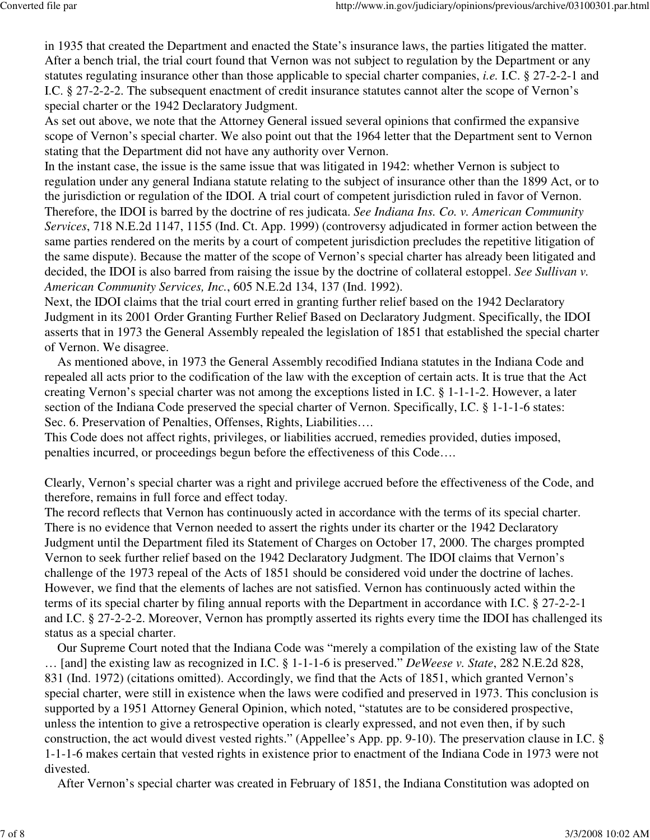in 1935 that created the Department and enacted the State's insurance laws, the parties litigated the matter. After a bench trial, the trial court found that Vernon was not subject to regulation by the Department or any statutes regulating insurance other than those applicable to special charter companies, *i.e.* I.C. § 27-2-2-1 and I.C. § 27-2-2-2. The subsequent enactment of credit insurance statutes cannot alter the scope of Vernon's special charter or the 1942 Declaratory Judgment.

As set out above, we note that the Attorney General issued several opinions that confirmed the expansive scope of Vernon's special charter. We also point out that the 1964 letter that the Department sent to Vernon stating that the Department did not have any authority over Vernon.

In the instant case, the issue is the same issue that was litigated in 1942: whether Vernon is subject to regulation under any general Indiana statute relating to the subject of insurance other than the 1899 Act, or to the jurisdiction or regulation of the IDOI. A trial court of competent jurisdiction ruled in favor of Vernon. Therefore, the IDOI is barred by the doctrine of res judicata. *See Indiana Ins. Co. v. American Community Services*, 718 N.E.2d 1147, 1155 (Ind. Ct. App. 1999) (controversy adjudicated in former action between the same parties rendered on the merits by a court of competent jurisdiction precludes the repetitive litigation of the same dispute). Because the matter of the scope of Vernon's special charter has already been litigated and decided, the IDOI is also barred from raising the issue by the doctrine of collateral estoppel. *See Sullivan v. American Community Services, Inc.*, 605 N.E.2d 134, 137 (Ind. 1992).

Next, the IDOI claims that the trial court erred in granting further relief based on the 1942 Declaratory Judgment in its 2001 Order Granting Further Relief Based on Declaratory Judgment. Specifically, the IDOI asserts that in 1973 the General Assembly repealed the legislation of 1851 that established the special charter of Vernon. We disagree.

 As mentioned above, in 1973 the General Assembly recodified Indiana statutes in the Indiana Code and repealed all acts prior to the codification of the law with the exception of certain acts. It is true that the Act creating Vernon's special charter was not among the exceptions listed in I.C. § 1-1-1-2. However, a later section of the Indiana Code preserved the special charter of Vernon. Specifically, I.C. § 1-1-1-6 states: Sec. 6. Preservation of Penalties, Offenses, Rights, Liabilities….

This Code does not affect rights, privileges, or liabilities accrued, remedies provided, duties imposed, penalties incurred, or proceedings begun before the effectiveness of this Code….

Clearly, Vernon's special charter was a right and privilege accrued before the effectiveness of the Code, and therefore, remains in full force and effect today.

The record reflects that Vernon has continuously acted in accordance with the terms of its special charter. There is no evidence that Vernon needed to assert the rights under its charter or the 1942 Declaratory Judgment until the Department filed its Statement of Charges on October 17, 2000. The charges prompted Vernon to seek further relief based on the 1942 Declaratory Judgment. The IDOI claims that Vernon's challenge of the 1973 repeal of the Acts of 1851 should be considered void under the doctrine of laches. However, we find that the elements of laches are not satisfied. Vernon has continuously acted within the terms of its special charter by filing annual reports with the Department in accordance with I.C. § 27-2-2-1 and I.C. § 27-2-2-2. Moreover, Vernon has promptly asserted its rights every time the IDOI has challenged its status as a special charter.

 Our Supreme Court noted that the Indiana Code was "merely a compilation of the existing law of the State … [and] the existing law as recognized in I.C. § 1-1-1-6 is preserved." *DeWeese v. State*, 282 N.E.2d 828, 831 (Ind. 1972) (citations omitted). Accordingly, we find that the Acts of 1851, which granted Vernon's special charter, were still in existence when the laws were codified and preserved in 1973. This conclusion is supported by a 1951 Attorney General Opinion, which noted, "statutes are to be considered prospective, unless the intention to give a retrospective operation is clearly expressed, and not even then, if by such construction, the act would divest vested rights." (Appellee's App. pp. 9-10). The preservation clause in I.C. § 1-1-1-6 makes certain that vested rights in existence prior to enactment of the Indiana Code in 1973 were not divested.

After Vernon's special charter was created in February of 1851, the Indiana Constitution was adopted on